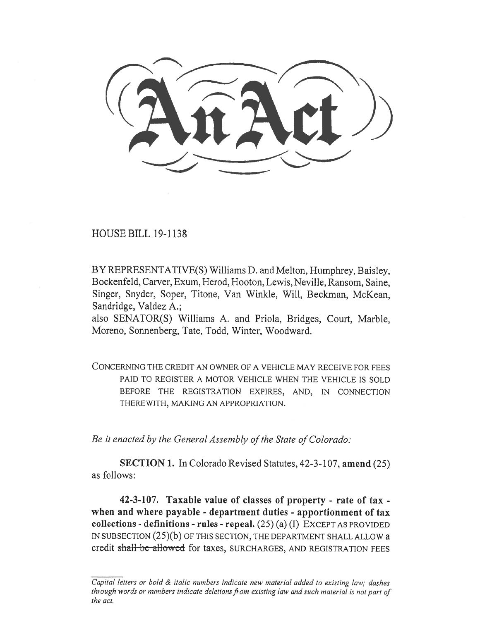**C \_. nrctr)) \_,......\_.** 

HOUSE BILL 19-1138

BY REPRESENTATIVE(S) Williams D. and Melton, Humphrey, Baisley, Bockenfeld, Carver, Exum, Herod, Hooton, Lewis, Neville, Ransom, Saine, Singer, Snyder, Soper, Titone, Van Winkle, Will, Beckman, McKean, Sandridge, Valdez A.;

also SENATOR(S) Williams A. and Priola, Bridges, Court, Marble, Moreno, Sonnenberg, Tate, Todd, Winter, Woodward.

CONCERNING THE CREDIT AN OWNER OF A VEHICLE MAY RECEIVE FOR FEES PAID TO REGISTER A MOTOR VEHICLE WHEN THE VEHICLE IS SOLD BEFORE THE REGISTRATION EXPIRES, AND, IN CONNECTION THEREWITH, MAKING AN APPROPRIATION.

*Be it enacted by the General Assembly of the State of Colorado:* 

**SECTION 1.** In Colorado Revised Statutes, 42-3-107, **amend** (25) as follows:

**42-3-107. Taxable value of classes of property - rate of tax when and where payable - department duties - apportionment of tax collections - definitions - rules - repeal.** (25) (a) (I) EXCEPT AS PROVIDED IN SUBSECTION (25)(b) OF THIS SECTION, THE DEPARTMENT SHALL ALLOW a credit shall-be-allowed for taxes, SURCHARGES, AND REGISTRATION FEES

*Capital letters or bold & italic numbers indicate new material added to existing law; dashes through words or numbers indicate deletions from existing law and such material is not part of the act.*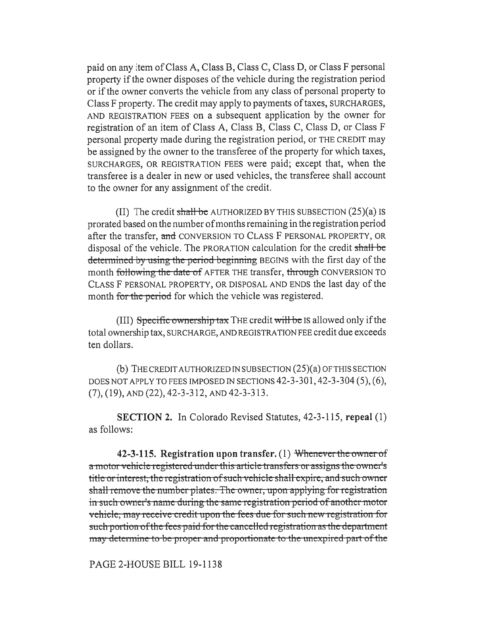paid on any item of Class A, Class B, Class C, Class D, or Class F personal property if the owner disposes of the vehicle during the registration period or if the owner converts the vehicle from any class of personal property to Class F property. The credit may apply to payments of taxes, SURCHARGES, AND REGISTRATION FEES on a subsequent application by the owner for registration of an item of Class A, Class B, Class C, Class D, or Class F personal property made during the registration period, or THE CREDIT may be assigned by the owner to the transferee of the property for which taxes, SURCHARGES, OR REGISTRATION FEES were paid; except that, when the transferee is a dealer in new or used vehicles, the transferee shall account to the owner for any assignment of the credit.

(II) The credit shall be AUTHORIZED BY THIS SUBSECTION  $(25)(a)$  is prorated based on the number of months remaining in the registration period after the transfer, **and** CONVERSION TO CLASS F PERSONAL PROPERTY, OR disposal of the vehicle. The PRORATION calculation for the credit shall be determined by using the period beginning BEGINS with the first day of the month following the date of AFTER THE transfer, through CONVERSION TO CLASS F PERSONAL PROPERTY, OR DISPOSAL AND ENDS the last day of the month for the period for which the vehicle was registered.

(III) Specific ownership tax THE credit will be IS allowed only if the total ownership tax, SURCHARGE, AND REGISTRATION FEE credit due exceeds ten dollars.

(b) THE CREDIT AUTHORIZED IN SUBSECTION (25)(a) OF THIS SECTION DOES NOT APPLY TO FEES IMPOSED IN SECTIONS 42-3-301,42-3-304 (5), (6), (7), (19), AND (22), 42-3-312, AND 42-3-313.

**SECTION 2.** In Colorado Revised Statutes, 42-3-115, **repeal** (1) as follows:

**42-3-115. Registration upon transfer. (1) Wherrevertne-owner** of a motor vehicle registered under this article transfers or assigns the owner's title or interest, the registration of such vehicle shall expire, and such owner shall remove the number plates. The owner, upon applying for registration in such owner's name during the same registration period of another motor vehicle, may receive credit upon the fees due for such new registration for such portion of the fees paid for the cancelled registration as the department may determine to be proper and proportionate to the unexpired part of the

PAGE 2-HOUSE BILL 19-1138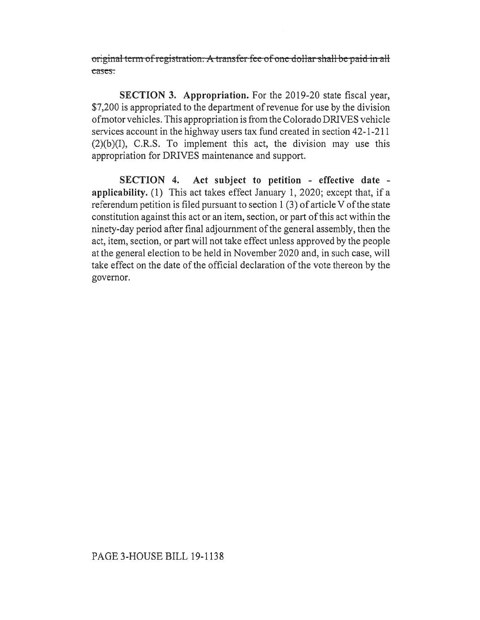original term of registration. A transfer fee of one dollar shall be paid in all cases.

**SECTION 3. Appropriation.** For the 2019-20 state fiscal year, \$7,200 is appropriated to the department of revenue for use by the division of motor vehicles. This appropriation is from the Colorado DRIVES vehicle services account in the highway users tax fund created in section 42-1-211  $(2)(b)(I)$ , C.R.S. To implement this act, the division may use this appropriation for DRIVES maintenance and support.

**SECTION 4. Act subject to petition - effective date applicability.** (1) This act takes effect January 1, 2020; except that, if a referendum petition is filed pursuant to section 1 (3) of article V of the state constitution against this act or an item, section, or part of this act within the ninety-day period after final adjournment of the general assembly, then the act, item, section, or part will not take effect unless approved by the people at the general election to be held in November 2020 and, in such case, will take effect on the date of the official declaration of the vote thereon by the governor.